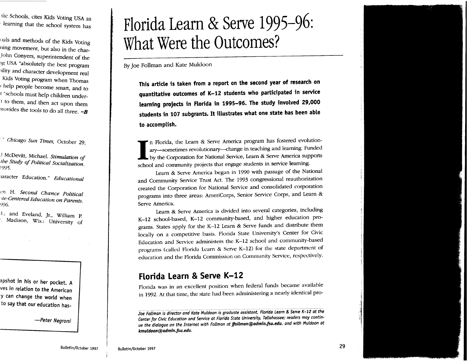>lie Schools, cites Kids Voting USA as learning that the school system has

uals and methods of the Kids Voting ning movement, but also in the char-John Conyers, superintendent of the >g USA "absolutely the best program >ility and character development real Kids Voting program when Thomas help people become smart, and to <sup>1</sup>"schools must help children under- ! to them, and then act upon them  $\alpha$  brovides the tools to do all three.  $\sim$ **B** 

. " *Chicago Sun Times,* October 29,

.I McDevitt, Michael. *Stimulation of the Study of Political Socialization.*<br>1995.

>aracter Education." *Educational* 

l.'n H. *Second Chance Political ile-Centered Education on Parents.*  996.

 $4$ .; and Eveland, Jr., William P. Madison, Wis.: University of

apshot in his or her pocket. <sup>A</sup> ves in relation to the American <sup>y</sup>can change the world when to say that our education has-

*-Peter Negroni* 

# **Florida Learn & Serve 1995-96: What Were the Outcomes?**

By Joe Follman and Kate Muldoon

**This article is taken from a report on the second year of research on quantitative outcomes of K-12 students who participated in service learning projects in Florida in 1995-96. The study involved 29,000 students in 107 subgrants. It illustrates what one state has been able to accomplish .** 

In Florida, the Learn & Serve America program has fostered evolution-<br>ary-sometimes revolutionary--change in teaching and learning. Funded<br>by the Corporation for National Service, Learn & Serve America supports school and community projects that engage students in service learning.

Learn & Serve America began in 1990 with passage of the National and Community Service Trust Act. The 1993 congressional reauthorization created the Corporation for National Service and consolidated corporation programs into three areas: AmeriCorps, Senior Service Corps, and Learn & Serve America.

Learn & Serve America is divided into several categories, including K-12 school-based, K-12 community-based, and higher education programs. States apply for the K-12 Learn & Serve funds and distribute them locally on a competitive basis. Florida State University's Center for Civic Education and Service administers the K-12 school and community-based programs (called Florida Learn & Serve K-12) for the state department of education and the Florida Commission on Community Service, respectively.

## **Florida Learn & Serve K-12**

Florida was in an excellent position when federal funds became available in 1992. At that time, the state had been administering a nearly identical pro-

*Joe Follman is director and Kate Muldoon is graduate assistant, Florida Learn & Serve K-12 at the Center for Civic Education and Service at Florida State University, Tallahassee; readers may continue the dialogue on the Internet with Follman at jfollman@admin.fsu.edu. and with Muldoon at kmuldoon@admin.fsu.edu.* 

Bulletin/October 1997 <sup>29</sup>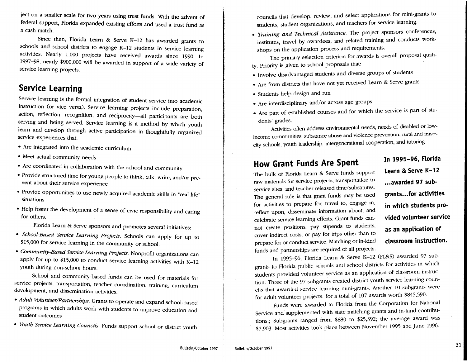ject on a smaller scale for two years using trust funds. With the advent of federal support, Florida expanded existing efforts and used a trust fund as a cash match.

Since then, Florida Learn & Serve K-12 has awarded grants to schools and school districts to engage K-12 students in service learning activities. Nearly 1,000 projects have received awards since 1990. In 1997-98, nearly \$900,000 will be awarded in support of a wide variety of service learning projects.

## **Service Learning**

Service learning is the formal integration of student service into academic instruction (or vice versa). Service learning projects include preparation, action, reflection, recognition, and reciprocity-all participants are both serving and being served. Service learning is a method by which youth learn and develop through active participation in thoughtfully organized service experiences that:

- Are integrated into the academic curriculum
- Meet actual community needs
- Are coordinated in collaboration with the school and community
- Provide structured time for young people to think, talk, write, and/or present about their service experience
- Provide opportunities to use newly acquired academic skills in "real-life" situations
- Help foster the development of a sense of civic responsibility and caring for others.

Florida Learn & Serve sponsors and promotes several initiatives:

- *School-Based Seroice Learning Projects.* Schools can apply for up to \$15,000 for service learning in the community or school.
- *Community-Based Seroice Learning Projects.* Nonprofit organizations can apply for up to \$15,000 to conduct service learning activities with K-12 youth during non-school hours.

School and community-based funds can be used for materials for service projects, transportation, teacher coordination, training, curriculum development, and dissemination activities.

- *Adult Volunteer/Partnerships.* Grants to operate and expand school-based programs in which adults work with students to improve education and student outcomes
- *Youth Seroice Learning Councils.* Funds support school or district youth

councils that develop, review, and select applications for mini-grants to students, student organizations, and teachers for service learning.

• *Training and Technical Assistance.* The project sponsors conferences, institutes, travel by awardees, and related training and conducts workshops on the application process and requirements.

The primary selection criterion for awards is overall proposal quality. Priority is given to school proposals that:

- Involve disadvantaged students and diverse groups of students
- Are from districts that have not yet received Learn & Serve grants
- Students help design and run
- Are interdisciplinary and/or across age groups
- Are part of established courses and for which the service is part of students' grades.

Activities often address environmental needs, needs of disabled or lowincome communities, substance abuse and violence prevention, rural and innercity schools, youth leadership, intergenerational cooperation, and tutoring.

## **How Grant Funds Are Spent**

## **In 1995-96, Florida Learn & Serve K-12 ... awarded 97 subgrants ... for activities in which students provided volunteer service as an application of classroom instruction.**

The hulk of Florida Learn & Serve funds support raw materials for service projects, transp01tation to service sites, and teacher released time/substitutes. The general rule is that grant funds may be used for activities to prepare for, travel to, engage in, reflect upon, disseminate information about, and celebrate service learning efforts. Grant funds cannot create positions, pay stipends to students, cover indirect costs, or pay for trips other than to prepare for or conduct service. Matching or in-kind funds and partnerships are required of all projects.

In 1995-96, Florida Learn & Serve K-12 (FL&S) awarded 97 subgrants to Florida public schools and school districts for activities in which students provided volunteer service as an application of classroom instruction. Three of the 97 subgrants created district youth service learning councils that awarded service learning mini-grants. Another 10 subgrants were for adult volunteer projects, for a total of 107 awards worth \$845,590.

Funds were awarded to Florida from the Corporation for National Service and supplemented with state matching grants and in-kind contributions.; Subgrants ranged from \$880 to \$25,392; the average award was \$7,903. Most activities took place between November 1995 and June 1996.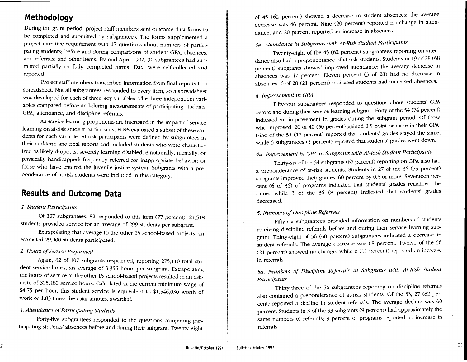## **Methodology**

During the grant period, project staff members sent outcome data forms to be completed and submitted by subgrantees. The forms supplemented a project narrative requirement with 17 questions about numbers of participating students; before-and-during comparisons of student GPA, absences, and referrals; and other items. By mid-April 1997, 91 subgrantees had submitted partially or fully completed forms. Data were self-collected and reported.

Project staff members transcribed information from final reports to a spreadsheet. Not all subgrantees responded to every item, so a spreadsheet was developed for each of three key variables. The three independent variables compared before-and-during measurements of participating students' GPA, attendance, and discipline referrals.

As service learning proponents are interested in the impact of service learning on at-risk student participants, FL&S evaluated a subset of these students for each variable. At-risk participants were defined by subgrantees in their mid-term and final reports and included students who were characterized as likely dropouts; severely learning disabled; emotionally, mentally, or physically handicapped; frequently referred for inappropriate behavior; or those who have entered the juvenile justice system. Subgrants with a preponderance of at-risk students were included in this category.

### **Results and Outcome Data**

#### *1. Student Participants*

Of 107 subgrantees, 82 responded to this item (77 percent); 24,518 students provided service for an average of 299 students per subgrant.

Extrapolating that average to the other 15 school-based projects, an estimated 29,000 students participated.

#### 2. Hours of Service Performed

Again, 82 of 107 subgrants responded, reporting 275,110 total student service hours, an average of 3,355 hours per subgrant. Extrapolating the hours of service to the other 15 school-based projects resulted in an estimate of 325,480 service hours. Calculated at the current minimum wage of \$4.75 per hour, this student service is equivalent to \$1,546,030 worth of work or 1.83 times the total amount awarded.

#### *3. Attendance of Participating Students*

Forty-five subgrantees responded to the questions comparing participating students' absences before and during their subgrant. Twenty-eight of 45 (62 percent) showed a decrease in student absences; the average decrease was 46 percent. Nine (20 percent) reported no change in attendance, and 20 percent reported an increase in absences.

#### *ja. Attendance in Subgrants with At-Risk Student Participants*

Twenty-eight of the 45 (62 percent) subgrantees reporting on attendance also had a preponderance of at-risk students. Students in 19 of 28 (68 percent) subgrants showed improved attendance; the average decrease in absences was 47 percent. Eleven percent (3 of 28) had no decrease in absences; 6 of 28 (21 percent) indicated students had increased absences.

#### *4. Improvement in GPA*

Fifty-four subgrantees responded to questions about students' GPA before and during their service learning subgrant. Forty of the 54 (74 percent) indicated an improvement in grades during the subgrant period. Of those who improved, 20 of 40 (50 percent) gained 0.5 point or more in their GPA. Nine of the 54 (17 percent) reported that students' grades stayed the same; while 5 subgrantees (5 percent) reported that students' grades went down.

### *4a. Improvement in GPA in Subgrants with At-Risk Student Participants*

Thirty-six of the 54 subgrants (67 percent) reporting on GPA also had a preponderance of at-risk students. Students in 27 of the 36 (75 percent) subgrants improved their grades, 60 percent by 0.5 or more. Seventeen percent (6 of 36) of programs indicated that students' grades remained the same, while 3 of the 36 (8 percent) indicated that students' grades decreased.

#### *5. Numbers of Discipline Referrals*

Fifty-six subgrantees provided information on numbers of students receiving discipline referrals before and during their service learning subgrant. Thirty-eight of 56 (68 percent) subgrantees indicated a decrease in student referrals. The average decrease was 68 percent. Twelve of the 56 (21 percent) showed no change, while 6 (11 percent) reported an increase in referrals.

*5a. Numbers of Discipline Referrals in Subgrants with At-Risk Student Participants* 

Thirty-three of the 56 subgrantees reporting on discipline referrals also contained a preponderance of at-risk students. Of the 33, 27 (82 percent) reported a decline in student referrals. The average decline was 60 percent. Students in 3 of the 33 subgrants (9 percent) had approximately the same numbers of referrals; 9 percent of programs reported an increase in referrals.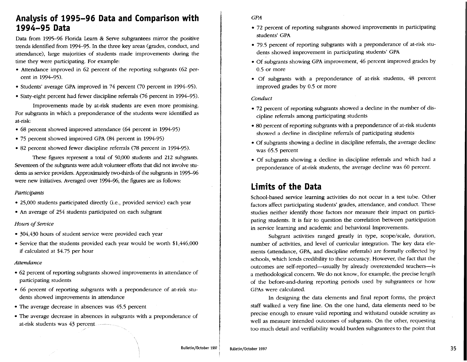## **Analysis of 1995-96 Data and Comparison with 1994-95 Data**

Data from 1995-96 Florida Learn & Serve subgrantees mirror the positive trends identified from 1994-95. In the three key areas (grades, conduct, and attendance), large majorities of students made improvements during the time they were participating. For example:

- Attendance improved in 62 percent of the reporting subgrants (62 percent in 1994-95).
- Students' average GPA improved in 74 percent (70 percent in 1994-95).
- Sixty-eight percent had fewer discipline referrals (76 percent in 1994-95).

Improvements made by at-risk students are even more promising. For subgrants in which a preponderance of the students were identified as at-risk:

- 68 percent showed improved attendance (64 percent in 1994-95)
- 75 percent showed improved GPA (84 percent in 1994-95)
- 82 percent showed fewer discipline referrals (78 percent in 1994-95).

These figures represent a total of 50,000 students and 212 subgrants. Seventeen of the subgrants were adult volunteer efforts that did not involve students as service providers. Approximately two-thirds of the subgrants in 1995-% were new initiatives. Averaged over 1994-96, the figures are as follows:

#### Participants

- 25,000 students participated directly (i.e., provided service) each year
- An average of 254 students participated on each subgrant

#### *Hours of Service*

- 304,430 hours of student service were provided each year
- Service that the students provided each year would be worth \$1,446,000 if calculated at \$4.75 per hour

#### Attendance

- 62 percent of reporting subgrants showed improvements in attendance of participating students
- 66 percent of reporting subgrants with a preponderance of at-risk students showed improvements in attendance
- The average decrease in absences was 45.5 percent
- The average decrease in absences in subgrants with a preponderance of at-risk students was 43 percent

#### GPA

- 72 percent of reporting subgrants showed improvements in participating students' GPA
- 79.5 percent of reporting subgrants with a preponderance of at-risk students showed improvement in participating students' GPA
- Of subgrants showing GPA improvement, 46 percent improved grades by 0.5 or more
- Of subgrants with a preponderance of at-risk students, 48 percent improved grades by 0.5 or more

#### *Conduct*

- 72 percent of reporting subgrants showed a decline in the number of discipline referrals among participating students
- 80 percent of reporting subgrants with a preponderance of at-risk students showed a decline in discipline referrals of participating students
- Of subgrants showing a decline in discipline referrals, the average decline was 65.5 percent
- Of subgrants showing a decline in discipline referrals and which had a preponderance of at-risk students, the average decline was 60 percent.

## **Limits of the Data**

School-based service learning activities do not occur in a test tube. Other factors affect participating students' grades, attendance, and conduct. These studies neither identify those factors nor measure their impact on participating students. It is fair to question the correlation between participation in service learning and academic and behavioral Improvements.

Subgrant activities ranged greatly in type, scope/scale, duration, number of activities, and level of curricular integration. The key data elements (attendance, GPA, and discipline referrals) are formally collected by schools, which lends credibility to their accuracy. However, the fact that the outcomes are self-reported-usually by already overextended teachers--is a methodological concern. We do not know, for example, the precise length of the before-and-during reporting periods used by subgrantees or how GPAs were calculated.

In designing the data elements and final report forms, the project staff walked a very fine line. On the one hand, data elements need to be precise enough to ensure valid reporting and withstand outside scrutiny as well as measure intended outcomes of subgrants. On the other, requesting too much detail and verifiability would burden subgrantees to the point that